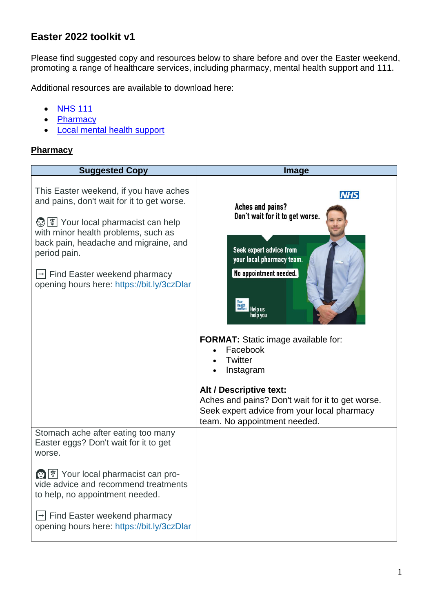## **Easter 2022 toolkit v1**

Please find suggested copy and resources below to share before and over the Easter weekend, promoting a range of healthcare services, including pharmacy, mental health support and 111.

Additional resources are available to download here:

- [NHS 111](https://campaignresources.phe.gov.uk/resources/campaigns/119-nhs-111-winter-2021/resources)
- [Pharmacy](https://campaignresources.phe.gov.uk/resources/campaigns/73-pharmacy-advice/resources)
- [Local mental health support](https://www.birminghamandsolihullccg.nhs.uk/doclink/mental-health-january-2022-toolkit-v1/eyJ0eXAiOiJKV1QiLCJhbGciOiJIUzI1NiJ9.eyJzdWIiOiJtZW50YWwtaGVhbHRoLWphbnVhcnktMjAyMi10b29sa2l0LXYxIiwiaWF0IjoxNjQyNTAyNDI2LCJleHAiOjE2NDI1ODg4MjZ9.wr3DlWhXOsbCIoOCw0NPs8sjU-1UBI7b-22KZj3pik0)

### **Pharmacy**

| <b>Suggested Copy</b>                                                                                                                                                                                                                                                                                                           | <b>Image</b>                                                                                                                                                                                                                                                                                                                                                                                                      |
|---------------------------------------------------------------------------------------------------------------------------------------------------------------------------------------------------------------------------------------------------------------------------------------------------------------------------------|-------------------------------------------------------------------------------------------------------------------------------------------------------------------------------------------------------------------------------------------------------------------------------------------------------------------------------------------------------------------------------------------------------------------|
| This Easter weekend, if you have aches<br>and pains, don't wait for it to get worse.<br><b>②</b>   T Your local pharmacist can help<br>with minor health problems, such as<br>back pain, headache and migraine, and<br>period pain.<br>$\rightarrow$ Find Easter weekend pharmacy<br>opening hours here: https://bit.ly/3czDlar | <b>NHS</b><br><b>Aches and pains?</b><br>Don't wait for it to get worse.<br>Seek expert advice from<br>your local pharmacy team.<br>No appointment needed.<br>health<br>matters<br>Help us<br><b>FORMAT:</b> Static image available for:<br>Facebook<br><b>Twitter</b><br>Instagram<br>Alt / Descriptive text:<br>Aches and pains? Don't wait for it to get worse.<br>Seek expert advice from your local pharmacy |
| Stomach ache after eating too many<br>Easter eggs? Don't wait for it to get<br>worse.                                                                                                                                                                                                                                           | team. No appointment needed.                                                                                                                                                                                                                                                                                                                                                                                      |
| <b>③</b>   ▼ Your local pharmacist can pro-<br>vide advice and recommend treatments<br>to help, no appointment needed.                                                                                                                                                                                                          |                                                                                                                                                                                                                                                                                                                                                                                                                   |
| Find Easter weekend pharmacy<br>opening hours here: https://bit.ly/3czDlar                                                                                                                                                                                                                                                      |                                                                                                                                                                                                                                                                                                                                                                                                                   |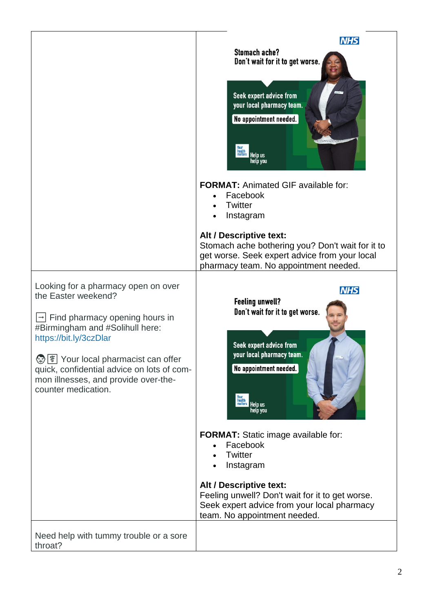|                                                                                                                                                           | <b>NHS</b>                                                                                                                                                            |
|-----------------------------------------------------------------------------------------------------------------------------------------------------------|-----------------------------------------------------------------------------------------------------------------------------------------------------------------------|
|                                                                                                                                                           | <b>Stomach ache?</b><br>Don't wait for it to get worse.<br>Seek expert advice from<br>your local pharmacy team.<br>No appointment needed.                             |
|                                                                                                                                                           | Your<br>Inealth<br>matters Help us<br>help you<br><b>FORMAT: Animated GIF available for:</b><br>Facebook<br><b>Twitter</b><br>Instagram                               |
|                                                                                                                                                           | Alt / Descriptive text:<br>Stomach ache bothering you? Don't wait for it to<br>get worse. Seek expert advice from your local<br>pharmacy team. No appointment needed. |
| Looking for a pharmacy open on over<br>the Easter weekend?<br>Find pharmacy opening hours in<br>#Birmingham and #Solihull here:<br>https://bit.ly/3czDlar | <b>NHS</b><br><b>Feeling unwell?</b><br>Don't wait for it to get worse.<br>Seek expert advice from                                                                    |
| 9<br>T Your local pharmacist can offer<br>quick, confidential advice on lots of com-<br>mon illnesses, and provide over-the-<br>counter medication.       | your local pharmacy team.<br>No appointment needed.<br>Your<br>matters Help us<br>help you                                                                            |
|                                                                                                                                                           | <b>FORMAT:</b> Static image available for:<br>Facebook<br>Twitter<br>Instagram                                                                                        |
|                                                                                                                                                           | Alt / Descriptive text:<br>Feeling unwell? Don't wait for it to get worse.<br>Seek expert advice from your local pharmacy<br>team. No appointment needed.             |
| Need help with tummy trouble or a sore<br>throat?                                                                                                         |                                                                                                                                                                       |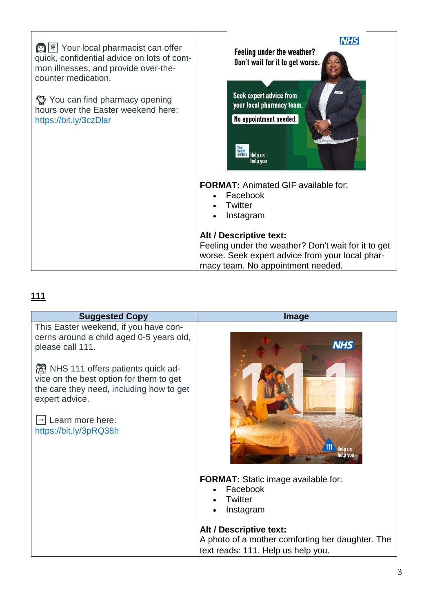| <b>③</b> <sup>零</sup> Your local pharmacist can offer<br>quick, confidential advice on lots of com-<br>mon illnesses, and provide over-the-<br>counter medication. | <b>NHS</b><br>Feeling under the weather?<br>Don't wait for it to get worse.                                                                                            |
|--------------------------------------------------------------------------------------------------------------------------------------------------------------------|------------------------------------------------------------------------------------------------------------------------------------------------------------------------|
| You can find pharmacy opening<br>hours over the Easter weekend here:<br>https://bit.ly/3czDlar                                                                     | Seek expert advice from<br>your local pharmacy team.<br>No appointment needed.<br>Victorian Port<br>matters Help us<br>help vou                                        |
|                                                                                                                                                                    | <b>FORMAT: Animated GIF available for:</b><br>Facebook<br><b>Twitter</b><br>Instagram                                                                                  |
|                                                                                                                                                                    | Alt / Descriptive text:<br>Feeling under the weather? Don't wait for it to get<br>worse. Seek expert advice from your local phar-<br>macy team. No appointment needed. |

# **111**

| <b>Suggested Copy</b>                                                                                                                                                                                                                                                                                        | Image                                                                                                                                                                                               |
|--------------------------------------------------------------------------------------------------------------------------------------------------------------------------------------------------------------------------------------------------------------------------------------------------------------|-----------------------------------------------------------------------------------------------------------------------------------------------------------------------------------------------------|
| This Easter weekend, if you have con-<br>cerns around a child aged 0-5 years old,<br>please call 111.<br><b>REA</b> NHS 111 offers patients quick ad-<br>vice on the best option for them to get<br>the care they need, including how to get<br>expert advice.<br>Learn more here:<br>https://bit.ly/3pRQ38h | <b>NHS</b><br><b>Help us</b>                                                                                                                                                                        |
|                                                                                                                                                                                                                                                                                                              | FORMAT: Static image available for:<br>Facebook<br><b>Twitter</b><br>Instagram<br>Alt / Descriptive text:<br>A photo of a mother comforting her daughter. The<br>text reads: 111. Help us help you. |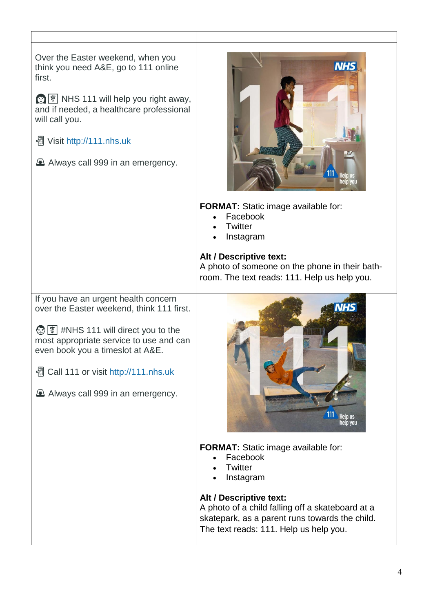| Over the Easter weekend, when you<br>think you need A&E, go to 111 online<br>first.<br>\$ \\\s 111 will help you right away,<br>and if needed, a healthcare professional<br>will call you.<br>쏍 Visit http://111.nhs.uk<br>A Always call 999 in an emergency.                                 | <b>NHS</b>                                                                                                                                                              |
|-----------------------------------------------------------------------------------------------------------------------------------------------------------------------------------------------------------------------------------------------------------------------------------------------|-------------------------------------------------------------------------------------------------------------------------------------------------------------------------|
|                                                                                                                                                                                                                                                                                               | <b>FORMAT:</b> Static image available for:<br>Facebook<br>Twitter<br>Instagram                                                                                          |
|                                                                                                                                                                                                                                                                                               | Alt / Descriptive text:<br>A photo of someone on the phone in their bath-<br>room. The text reads: 111. Help us help you.                                               |
| If you have an urgent health concern<br>over the Easter weekend, think 111 first.<br>(a)   \$   #NHS 111 will direct you to the<br>most appropriate service to use and can<br>even book you a timeslot at A&E.<br>图 Call 111 or visit http://111.nhs.uk<br>A Always call 999 in an emergency. | Help us<br>help you                                                                                                                                                     |
|                                                                                                                                                                                                                                                                                               | FORMAT: Static image available for:<br>Facebook<br>Twitter<br>Instagram                                                                                                 |
|                                                                                                                                                                                                                                                                                               | Alt / Descriptive text:<br>A photo of a child falling off a skateboard at a<br>skatepark, as a parent runs towards the child.<br>The text reads: 111. Help us help you. |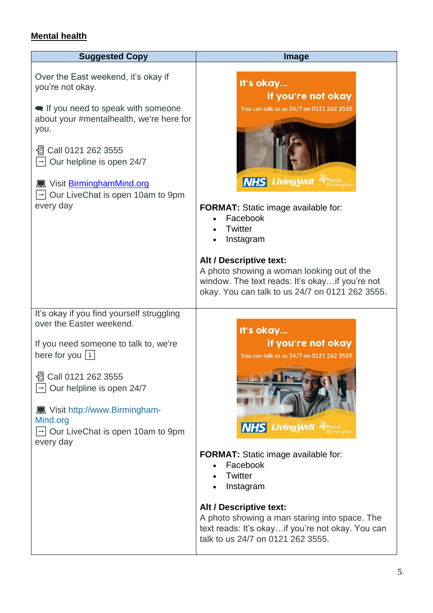## **Mental health**

| <b>Suggested Copy</b>                                                                                                                                                                                                                                                                                                                 | Image                                                                                                                                                                                                                                                                                                                                                                         |
|---------------------------------------------------------------------------------------------------------------------------------------------------------------------------------------------------------------------------------------------------------------------------------------------------------------------------------------|-------------------------------------------------------------------------------------------------------------------------------------------------------------------------------------------------------------------------------------------------------------------------------------------------------------------------------------------------------------------------------|
| Over the East weekend, it's okay if<br>you're not okay.<br>let If you need to speak with someone<br>about your #mentalhealth, we're here for<br>you.<br>Call 0121 262 3555<br>Our helpline is open 24/7<br><u>■ Visit BirminghamMind.org</u><br>Our LiveChat is open 10am to 9pm<br>every day                                         | It's okay<br>if you're not okay<br>You can talk to us 24/7 on 0121 262 3555<br><b>NHS Living Well</b><br><b>FORMAT:</b> Static image available for:<br>Facebook<br><b>Twitter</b><br>Instagram<br>Alt / Descriptive text:<br>A photo showing a woman looking out of the<br>window. The text reads: It's okay if you're not<br>okay. You can talk to us 24/7 on 0121 262 3555. |
| It's okay if you find yourself struggling<br>over the Easter weekend.<br>If you need someone to talk to, we're<br>here for you $\boxed{1}$<br>Call 0121 262 3555<br>壛<br>$\rightarrow$ Our helpline is open 24/7<br>■ Visit http://www.Birmingham-<br>Mind.org<br>$\boxed{\rightarrow}$ Our LiveChat is open 10am to 9pm<br>every day | It's okay<br>if you're not okay<br>You can talk to us 24/7 on 0121 262 3555<br><b>NHS Living Well</b><br>FORMAT: Static image available for:<br>Facebook<br>Twitter<br>Instagram                                                                                                                                                                                              |
|                                                                                                                                                                                                                                                                                                                                       | Alt / Descriptive text:<br>A photo showing a man staring into space. The<br>text reads: It's okayif you're not okay. You can<br>talk to us 24/7 on 0121 262 3555.                                                                                                                                                                                                             |